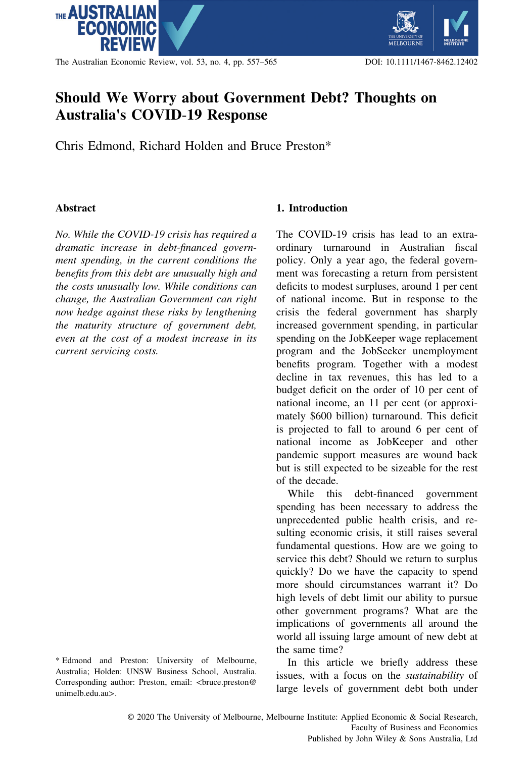

The Australian Economic Review, vol. 53, no. 4, pp. 557–565 DOI: 10.1111/1467-8462.12402

# Should We Worry about Government Debt? Thoughts on Australia's COVID‐19 Response

Chris Edmond, Richard Holden and Bruce Preston\*

#### **Abstract**

No. While the COVID‐19 crisis has required a dramatic increase in debt‐financed government spending, in the current conditions the benefits from this debt are unusually high and the costs unusually low. While conditions can change, the Australian Government can right now hedge against these risks by lengthening the maturity structure of government debt, even at the cost of a modest increase in its current servicing costs.

# 1. Introduction

The COVID-19 crisis has lead to an extraordinary turnaround in Australian fiscal policy. Only a year ago, the federal government was forecasting a return from persistent deficits to modest surpluses, around 1 per cent of national income. But in response to the crisis the federal government has sharply increased government spending, in particular spending on the JobKeeper wage replacement program and the JobSeeker unemployment benefits program. Together with a modest decline in tax revenues, this has led to a budget deficit on the order of 10 per cent of national income, an 11 per cent (or approximately \$600 billion) turnaround. This deficit is projected to fall to around 6 per cent of national income as JobKeeper and other pandemic support measures are wound back but is still expected to be sizeable for the rest of the decade.

While this debt-financed government spending has been necessary to address the unprecedented public health crisis, and resulting economic crisis, it still raises several fundamental questions. How are we going to service this debt? Should we return to surplus quickly? Do we have the capacity to spend more should circumstances warrant it? Do high levels of debt limit our ability to pursue other government programs? What are the implications of governments all around the world all issuing large amount of new debt at the same time?

In this article we briefly address these issues, with a focus on the sustainability of large levels of government debt both under

<sup>\*</sup> Edmond and Preston: University of Melbourne, Australia; Holden: UNSW Business School, Australia. Corresponding author: Preston, email: <br/> <br/> <br/> <br/>ce.preston@ unimelb.edu.au>.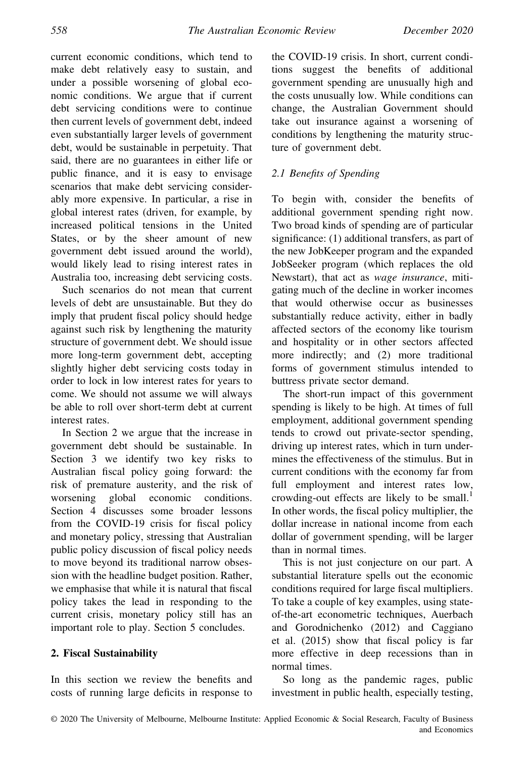current economic conditions, which tend to make debt relatively easy to sustain, and under a possible worsening of global economic conditions. We argue that if current debt servicing conditions were to continue then current levels of government debt, indeed even substantially larger levels of government debt, would be sustainable in perpetuity. That said, there are no guarantees in either life or public finance, and it is easy to envisage scenarios that make debt servicing considerably more expensive. In particular, a rise in global interest rates (driven, for example, by increased political tensions in the United States, or by the sheer amount of new government debt issued around the world), would likely lead to rising interest rates in Australia too, increasing debt servicing costs.

Such scenarios do not mean that current levels of debt are unsustainable. But they do imply that prudent fiscal policy should hedge against such risk by lengthening the maturity structure of government debt. We should issue more long‐term government debt, accepting slightly higher debt servicing costs today in order to lock in low interest rates for years to come. We should not assume we will always be able to roll over short‐term debt at current interest rates.

In Section 2 we argue that the increase in government debt should be sustainable. In Section 3 we identify two key risks to Australian fiscal policy going forward: the risk of premature austerity, and the risk of worsening global economic conditions. Section 4 discusses some broader lessons from the COVID‐19 crisis for fiscal policy and monetary policy, stressing that Australian public policy discussion of fiscal policy needs to move beyond its traditional narrow obsession with the headline budget position. Rather, we emphasise that while it is natural that fiscal policy takes the lead in responding to the current crisis, monetary policy still has an important role to play. Section 5 concludes.

#### 2. Fiscal Sustainability

In this section we review the benefits and costs of running large deficits in response to the COVID‐19 crisis. In short, current conditions suggest the benefits of additional government spending are unusually high and the costs unusually low. While conditions can change, the Australian Government should take out insurance against a worsening of conditions by lengthening the maturity structure of government debt.

# 2.1 Benefits of Spending

To begin with, consider the benefits of additional government spending right now. Two broad kinds of spending are of particular significance: (1) additional transfers, as part of the new JobKeeper program and the expanded JobSeeker program (which replaces the old Newstart), that act as wage insurance, mitigating much of the decline in worker incomes that would otherwise occur as businesses substantially reduce activity, either in badly affected sectors of the economy like tourism and hospitality or in other sectors affected more indirectly; and (2) more traditional forms of government stimulus intended to buttress private sector demand.

The short-run impact of this government spending is likely to be high. At times of full employment, additional government spending tends to crowd out private‐sector spending, driving up interest rates, which in turn undermines the effectiveness of the stimulus. But in current conditions with the economy far from full employment and interest rates low, crowding-out effects are likely to be small.<sup>1</sup> In other words, the fiscal policy multiplier, the dollar increase in national income from each dollar of government spending, will be larger than in normal times.

This is not just conjecture on our part. A substantial literature spells out the economic conditions required for large fiscal multipliers. To take a couple of key examples, using state‐ of‐the‐art econometric techniques, Auerbach and Gorodnichenko (2012) and Caggiano et al. (2015) show that fiscal policy is far more effective in deep recessions than in normal times.

So long as the pandemic rages, public investment in public health, especially testing,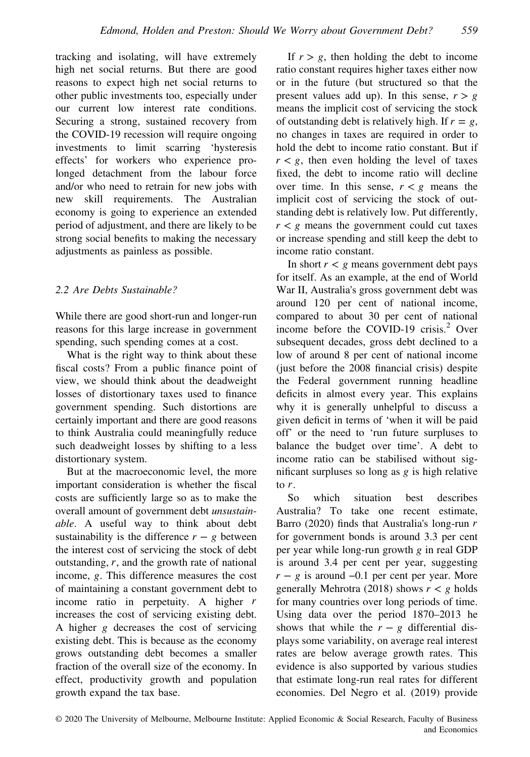tracking and isolating, will have extremely high net social returns. But there are good reasons to expect high net social returns to other public investments too, especially under our current low interest rate conditions. Securing a strong, sustained recovery from the COVID‐19 recession will require ongoing investments to limit scarring 'hysteresis effects' for workers who experience prolonged detachment from the labour force and/or who need to retrain for new jobs with new skill requirements. The Australian economy is going to experience an extended period of adjustment, and there are likely to be strong social benefits to making the necessary adjustments as painless as possible.

#### 2.2 Are Debts Sustainable?

While there are good short‐run and longer‐run reasons for this large increase in government spending, such spending comes at a cost.

What is the right way to think about these fiscal costs? From a public finance point of view, we should think about the deadweight losses of distortionary taxes used to finance government spending. Such distortions are certainly important and there are good reasons to think Australia could meaningfully reduce such deadweight losses by shifting to a less distortionary system.

But at the macroeconomic level, the more important consideration is whether the fiscal costs are sufficiently large so as to make the overall amount of government debt unsustainable. A useful way to think about debt sustainability is the difference  $r - g$  between the interest cost of servicing the stock of debt outstanding, *r*, and the growth rate of national income, *g*. This difference measures the cost of maintaining a constant government debt to income ratio in perpetuity. A higher *r* increases the cost of servicing existing debt. A higher *g* decreases the cost of servicing existing debt. This is because as the economy grows outstanding debt becomes a smaller fraction of the overall size of the economy. In effect, productivity growth and population growth expand the tax base.

If  $r > g$ , then holding the debt to income ratio constant requires higher taxes either now or in the future (but structured so that the present values add up). In this sense,  $r > g$ means the implicit cost of servicing the stock of outstanding debt is relatively high. If  $r = g$ , no changes in taxes are required in order to hold the debt to income ratio constant. But if  $r < g$ , then even holding the level of taxes fixed, the debt to income ratio will decline over time. In this sense,  $r < g$  means the implicit cost of servicing the stock of outstanding debt is relatively low. Put differently,  $r < g$  means the government could cut taxes or increase spending and still keep the debt to income ratio constant.

In short  $r < g$  means government debt pays for itself. As an example, at the end of World War II, Australia's gross government debt was around 120 per cent of national income, compared to about 30 per cent of national income before the COVID-19 crisis.<sup>2</sup> Over subsequent decades, gross debt declined to a low of around 8 per cent of national income (just before the 2008 financial crisis) despite the Federal government running headline deficits in almost every year. This explains why it is generally unhelpful to discuss a given deficit in terms of 'when it will be paid off' or the need to 'run future surpluses to balance the budget over time'. A debt to income ratio can be stabilised without significant surpluses so long as *g* is high relative to *r*.

So which situation best describes Australia? To take one recent estimate, Barro (2020) finds that Australia's long‐run *r* for government bonds is around 3.3 per cent per year while long‐run growth *g* in real GDP is around 3.4 per cent per year, suggesting  $r - g$  is around  $-0.1$  per cent per year. More generally Mehrotra (2018) shows  $r < g$  holds for many countries over long periods of time. Using data over the period 1870–2013 he shows that while the  $r - g$  differential displays some variability, on average real interest rates are below average growth rates. This evidence is also supported by various studies that estimate long‐run real rates for different economies. Del Negro et al. (2019) provide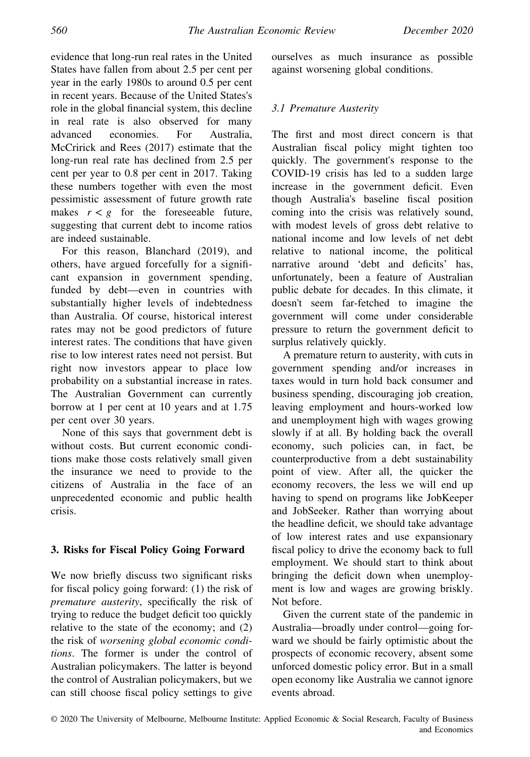evidence that long‐run real rates in the United States have fallen from about 2.5 per cent per year in the early 1980s to around 0.5 per cent in recent years. Because of the United States's role in the global financial system, this decline in real rate is also observed for many advanced economies. For Australia, McCririck and Rees (2017) estimate that the long‐run real rate has declined from 2.5 per cent per year to 0.8 per cent in 2017. Taking these numbers together with even the most pessimistic assessment of future growth rate makes  $r < g$  for the foreseeable future, suggesting that current debt to income ratios are indeed sustainable.

For this reason, Blanchard (2019), and others, have argued forcefully for a significant expansion in government spending, funded by debt—even in countries with substantially higher levels of indebtedness than Australia. Of course, historical interest rates may not be good predictors of future interest rates. The conditions that have given rise to low interest rates need not persist. But right now investors appear to place low probability on a substantial increase in rates. The Australian Government can currently borrow at 1 per cent at 10 years and at 1.75 per cent over 30 years.

None of this says that government debt is without costs. But current economic conditions make those costs relatively small given the insurance we need to provide to the citizens of Australia in the face of an unprecedented economic and public health crisis.

# 3. Risks for Fiscal Policy Going Forward

We now briefly discuss two significant risks for fiscal policy going forward: (1) the risk of premature austerity, specifically the risk of trying to reduce the budget deficit too quickly relative to the state of the economy; and (2) the risk of worsening global economic conditions. The former is under the control of Australian policymakers. The latter is beyond the control of Australian policymakers, but we can still choose fiscal policy settings to give

ourselves as much insurance as possible against worsening global conditions.

### 3.1 Premature Austerity

The first and most direct concern is that Australian fiscal policy might tighten too quickly. The government's response to the COVID‐19 crisis has led to a sudden large increase in the government deficit. Even though Australia's baseline fiscal position coming into the crisis was relatively sound, with modest levels of gross debt relative to national income and low levels of net debt relative to national income, the political narrative around 'debt and deficits' has, unfortunately, been a feature of Australian public debate for decades. In this climate, it doesn't seem far‐fetched to imagine the government will come under considerable pressure to return the government deficit to surplus relatively quickly.

A premature return to austerity, with cuts in government spending and/or increases in taxes would in turn hold back consumer and business spending, discouraging job creation, leaving employment and hours‐worked low and unemployment high with wages growing slowly if at all. By holding back the overall economy, such policies can, in fact, be counterproductive from a debt sustainability point of view. After all, the quicker the economy recovers, the less we will end up having to spend on programs like JobKeeper and JobSeeker. Rather than worrying about the headline deficit, we should take advantage of low interest rates and use expansionary fiscal policy to drive the economy back to full employment. We should start to think about bringing the deficit down when unemployment is low and wages are growing briskly. Not before.

Given the current state of the pandemic in Australia—broadly under control—going forward we should be fairly optimistic about the prospects of economic recovery, absent some unforced domestic policy error. But in a small open economy like Australia we cannot ignore events abroad.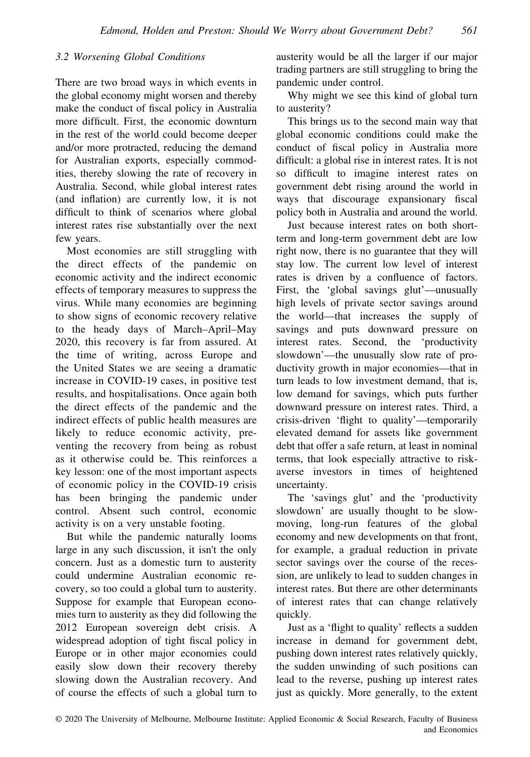#### 3.2 Worsening Global Conditions

There are two broad ways in which events in the global economy might worsen and thereby make the conduct of fiscal policy in Australia more difficult. First, the economic downturn in the rest of the world could become deeper and/or more protracted, reducing the demand for Australian exports, especially commodities, thereby slowing the rate of recovery in Australia. Second, while global interest rates (and inflation) are currently low, it is not difficult to think of scenarios where global interest rates rise substantially over the next few years.

Most economies are still struggling with the direct effects of the pandemic on economic activity and the indirect economic effects of temporary measures to suppress the virus. While many economies are beginning to show signs of economic recovery relative to the heady days of March–April–May 2020, this recovery is far from assured. At the time of writing, across Europe and the United States we are seeing a dramatic increase in COVID‐19 cases, in positive test results, and hospitalisations. Once again both the direct effects of the pandemic and the indirect effects of public health measures are likely to reduce economic activity, preventing the recovery from being as robust as it otherwise could be. This reinforces a key lesson: one of the most important aspects of economic policy in the COVID‐19 crisis has been bringing the pandemic under control. Absent such control, economic activity is on a very unstable footing.

But while the pandemic naturally looms large in any such discussion, it isn't the only concern. Just as a domestic turn to austerity could undermine Australian economic recovery, so too could a global turn to austerity. Suppose for example that European economies turn to austerity as they did following the 2012 European sovereign debt crisis. A widespread adoption of tight fiscal policy in Europe or in other major economies could easily slow down their recovery thereby slowing down the Australian recovery. And of course the effects of such a global turn to austerity would be all the larger if our major trading partners are still struggling to bring the pandemic under control.

Why might we see this kind of global turn to austerity?

This brings us to the second main way that global economic conditions could make the conduct of fiscal policy in Australia more difficult: a global rise in interest rates. It is not so difficult to imagine interest rates on government debt rising around the world in ways that discourage expansionary fiscal policy both in Australia and around the world.

Just because interest rates on both short‐ term and long‐term government debt are low right now, there is no guarantee that they will stay low. The current low level of interest rates is driven by a confluence of factors. First, the 'global savings glut'—unusually high levels of private sector savings around the world—that increases the supply of savings and puts downward pressure on interest rates. Second, the 'productivity slowdown'—the unusually slow rate of productivity growth in major economies—that in turn leads to low investment demand, that is, low demand for savings, which puts further downward pressure on interest rates. Third, a crisis‐driven 'flight to quality'—temporarily elevated demand for assets like government debt that offer a safe return, at least in nominal terms, that look especially attractive to riskaverse investors in times of heightened uncertainty.

The 'savings glut' and the 'productivity slowdown' are usually thought to be slow‐ moving, long‐run features of the global economy and new developments on that front, for example, a gradual reduction in private sector savings over the course of the recession, are unlikely to lead to sudden changes in interest rates. But there are other determinants of interest rates that can change relatively quickly.

Just as a 'flight to quality' reflects a sudden increase in demand for government debt, pushing down interest rates relatively quickly, the sudden unwinding of such positions can lead to the reverse, pushing up interest rates just as quickly. More generally, to the extent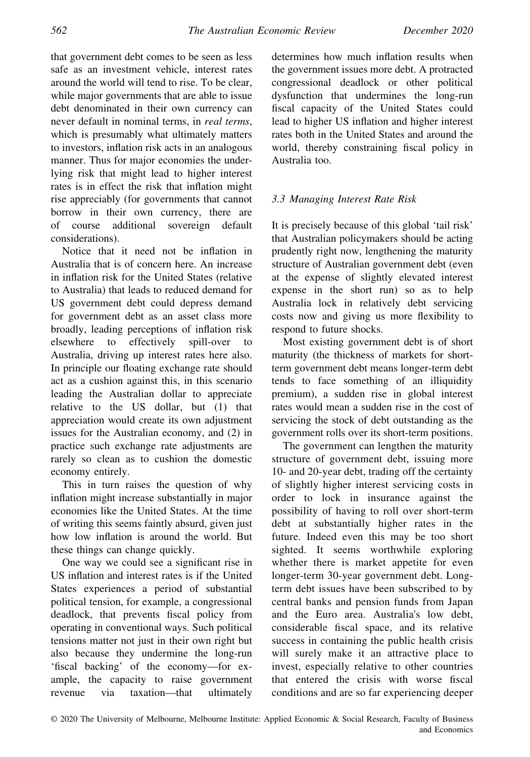that government debt comes to be seen as less safe as an investment vehicle, interest rates around the world will tend to rise. To be clear, while major governments that are able to issue debt denominated in their own currency can never default in nominal terms, in real terms, which is presumably what ultimately matters to investors, inflation risk acts in an analogous manner. Thus for major economies the underlying risk that might lead to higher interest rates is in effect the risk that inflation might rise appreciably (for governments that cannot borrow in their own currency, there are of course additional sovereign default considerations).

Notice that it need not be inflation in Australia that is of concern here. An increase in inflation risk for the United States (relative to Australia) that leads to reduced demand for US government debt could depress demand for government debt as an asset class more broadly, leading perceptions of inflation risk elsewhere to effectively spill‐over to Australia, driving up interest rates here also. In principle our floating exchange rate should act as a cushion against this, in this scenario leading the Australian dollar to appreciate relative to the US dollar, but (1) that appreciation would create its own adjustment issues for the Australian economy, and (2) in practice such exchange rate adjustments are rarely so clean as to cushion the domestic economy entirely.

This in turn raises the question of why inflation might increase substantially in major economies like the United States. At the time of writing this seems faintly absurd, given just how low inflation is around the world. But these things can change quickly.

One way we could see a significant rise in US inflation and interest rates is if the United States experiences a period of substantial political tension, for example, a congressional deadlock, that prevents fiscal policy from operating in conventional ways. Such political tensions matter not just in their own right but also because they undermine the long‐run 'fiscal backing' of the economy—for example, the capacity to raise government revenue via taxation—that ultimately determines how much inflation results when the government issues more debt. A protracted congressional deadlock or other political dysfunction that undermines the long‐run fiscal capacity of the United States could lead to higher US inflation and higher interest rates both in the United States and around the world, thereby constraining fiscal policy in Australia too.

# 3.3 Managing Interest Rate Risk

It is precisely because of this global 'tail risk' that Australian policymakers should be acting prudently right now, lengthening the maturity structure of Australian government debt (even at the expense of slightly elevated interest expense in the short run) so as to help Australia lock in relatively debt servicing costs now and giving us more flexibility to respond to future shocks.

Most existing government debt is of short maturity (the thickness of markets for short‐ term government debt means longer‐term debt tends to face something of an illiquidity premium), a sudden rise in global interest rates would mean a sudden rise in the cost of servicing the stock of debt outstanding as the government rolls over its short‐term positions.

The government can lengthen the maturity structure of government debt, issuing more 10‐ and 20‐year debt, trading off the certainty of slightly higher interest servicing costs in order to lock in insurance against the possibility of having to roll over short‐term debt at substantially higher rates in the future. Indeed even this may be too short sighted. It seems worthwhile exploring whether there is market appetite for even longer‐term 30‐year government debt. Long‐ term debt issues have been subscribed to by central banks and pension funds from Japan and the Euro area. Australia's low debt, considerable fiscal space, and its relative success in containing the public health crisis will surely make it an attractive place to invest, especially relative to other countries that entered the crisis with worse fiscal conditions and are so far experiencing deeper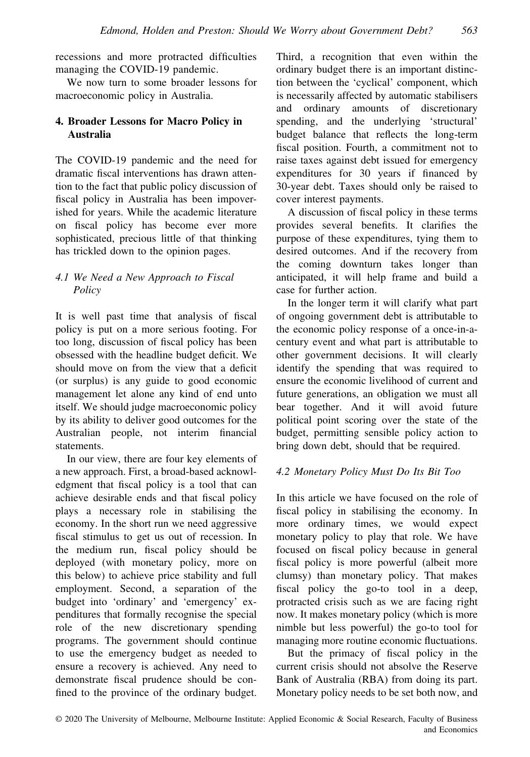recessions and more protracted difficulties managing the COVID‐19 pandemic.

We now turn to some broader lessons for macroeconomic policy in Australia.

# 4. Broader Lessons for Macro Policy in Australia

The COVID‐19 pandemic and the need for dramatic fiscal interventions has drawn attention to the fact that public policy discussion of fiscal policy in Australia has been impoverished for years. While the academic literature on fiscal policy has become ever more sophisticated, precious little of that thinking has trickled down to the opinion pages.

# 4.1 We Need a New Approach to Fiscal **Policy**

It is well past time that analysis of fiscal policy is put on a more serious footing. For too long, discussion of fiscal policy has been obsessed with the headline budget deficit. We should move on from the view that a deficit (or surplus) is any guide to good economic management let alone any kind of end unto itself. We should judge macroeconomic policy by its ability to deliver good outcomes for the Australian people, not interim financial statements.

In our view, there are four key elements of a new approach. First, a broad‐based acknowledgment that fiscal policy is a tool that can achieve desirable ends and that fiscal policy plays a necessary role in stabilising the economy. In the short run we need aggressive fiscal stimulus to get us out of recession. In the medium run, fiscal policy should be deployed (with monetary policy, more on this below) to achieve price stability and full employment. Second, a separation of the budget into 'ordinary' and 'emergency' expenditures that formally recognise the special role of the new discretionary spending programs. The government should continue to use the emergency budget as needed to ensure a recovery is achieved. Any need to demonstrate fiscal prudence should be confined to the province of the ordinary budget.

Third, a recognition that even within the ordinary budget there is an important distinction between the 'cyclical' component, which is necessarily affected by automatic stabilisers and ordinary amounts of discretionary spending, and the underlying 'structural' budget balance that reflects the long‐term fiscal position. Fourth, a commitment not to raise taxes against debt issued for emergency expenditures for 30 years if financed by 30‐year debt. Taxes should only be raised to cover interest payments.

A discussion of fiscal policy in these terms provides several benefits. It clarifies the purpose of these expenditures, tying them to desired outcomes. And if the recovery from the coming downturn takes longer than anticipated, it will help frame and build a case for further action.

In the longer term it will clarify what part of ongoing government debt is attributable to the economic policy response of a once-in-acentury event and what part is attributable to other government decisions. It will clearly identify the spending that was required to ensure the economic livelihood of current and future generations, an obligation we must all bear together. And it will avoid future political point scoring over the state of the budget, permitting sensible policy action to bring down debt, should that be required.

# 4.2 Monetary Policy Must Do Its Bit Too

In this article we have focused on the role of fiscal policy in stabilising the economy. In more ordinary times, we would expect monetary policy to play that role. We have focused on fiscal policy because in general fiscal policy is more powerful (albeit more clumsy) than monetary policy. That makes fiscal policy the go-to tool in a deep, protracted crisis such as we are facing right now. It makes monetary policy (which is more nimble but less powerful) the go‐to tool for managing more routine economic fluctuations.

But the primacy of fiscal policy in the current crisis should not absolve the Reserve Bank of Australia (RBA) from doing its part. Monetary policy needs to be set both now, and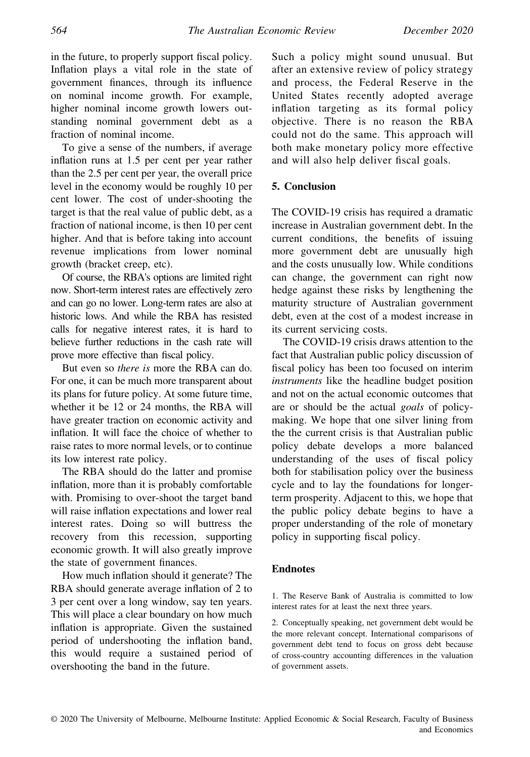in the future, to properly support fiscal policy. Inflation plays a vital role in the state of government finances, through its influence on nominal income growth. For example, higher nominal income growth lowers outstanding nominal government debt as a fraction of nominal income.

To give a sense of the numbers, if average inflation runs at 1.5 per cent per year rather than the 2.5 per cent per year, the overall price level in the economy would be roughly 10 per cent lower. The cost of under‐shooting the target is that the real value of public debt, as a fraction of national income, is then 10 per cent higher. And that is before taking into account revenue implications from lower nominal growth (bracket creep, etc).

Of course, the RBA's options are limited right now. Short‐term interest rates are effectively zero and can go no lower. Long‐term rates are also at historic lows. And while the RBA has resisted calls for negative interest rates, it is hard to believe further reductions in the cash rate will prove more effective than fiscal policy.

But even so there is more the RBA can do. For one, it can be much more transparent about its plans for future policy. At some future time, whether it be 12 or 24 months, the RBA will have greater traction on economic activity and inflation. It will face the choice of whether to raise rates to more normal levels, or to continue its low interest rate policy.

The RBA should do the latter and promise inflation, more than it is probably comfortable with. Promising to over‐shoot the target band will raise inflation expectations and lower real interest rates. Doing so will buttress the recovery from this recession, supporting economic growth. It will also greatly improve the state of government finances.

How much inflation should it generate? The RBA should generate average inflation of 2 to 3 per cent over a long window, say ten years. This will place a clear boundary on how much inflation is appropriate. Given the sustained period of undershooting the inflation band, this would require a sustained period of overshooting the band in the future.

Such a policy might sound unusual. But after an extensive review of policy strategy and process, the Federal Reserve in the United States recently adopted average inflation targeting as its formal policy objective. There is no reason the RBA could not do the same. This approach will both make monetary policy more effective and will also help deliver fiscal goals.

#### 5. Conclusion

The COVID-19 crisis has required a dramatic increase in Australian government debt. In the current conditions, the benefits of issuing more government debt are unusually high and the costs unusually low. While conditions can change, the government can right now hedge against these risks by lengthening the maturity structure of Australian government debt, even at the cost of a modest increase in its current servicing costs.

The COVID‐19 crisis draws attention to the fact that Australian public policy discussion of fiscal policy has been too focused on interim instruments like the headline budget position and not on the actual economic outcomes that are or should be the actual goals of policymaking. We hope that one silver lining from the the current crisis is that Australian public policy debate develops a more balanced understanding of the uses of fiscal policy both for stabilisation policy over the business cycle and to lay the foundations for longerterm prosperity. Adjacent to this, we hope that the public policy debate begins to have a proper understanding of the role of monetary policy in supporting fiscal policy.

#### Endnotes

1. The Reserve Bank of Australia is committed to low interest rates for at least the next three years.

2. Conceptually speaking, net government debt would be the more relevant concept. International comparisons of government debt tend to focus on gross debt because of cross‐country accounting differences in the valuation of government assets.